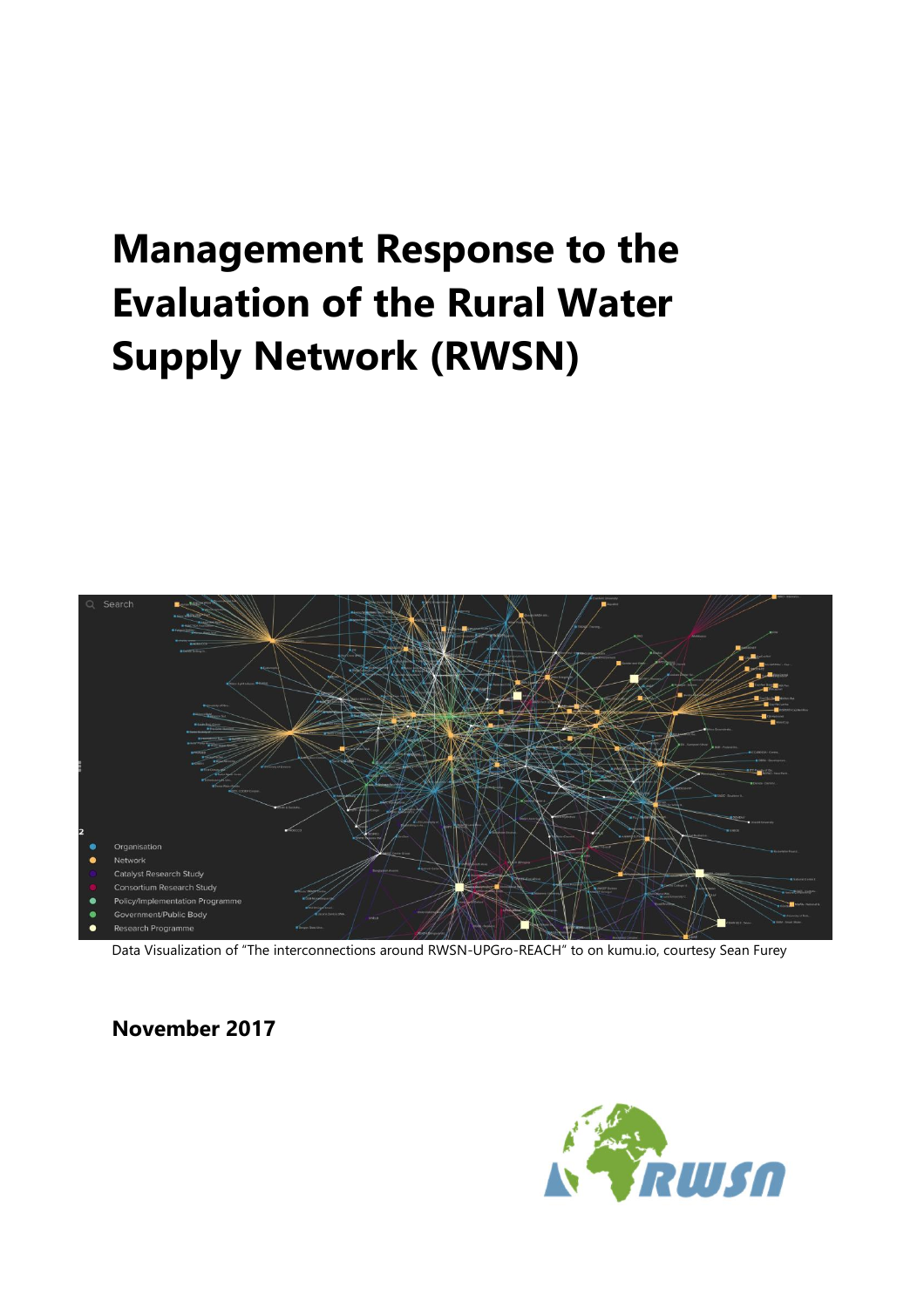# **Management Response to the Evaluation of the Rural Water Supply Network (RWSN)**



Data Visualization of "The interconnections around RWSN-UPGro-REACH" to on kumu.io, courtesy Sean Furey

**November 2017**

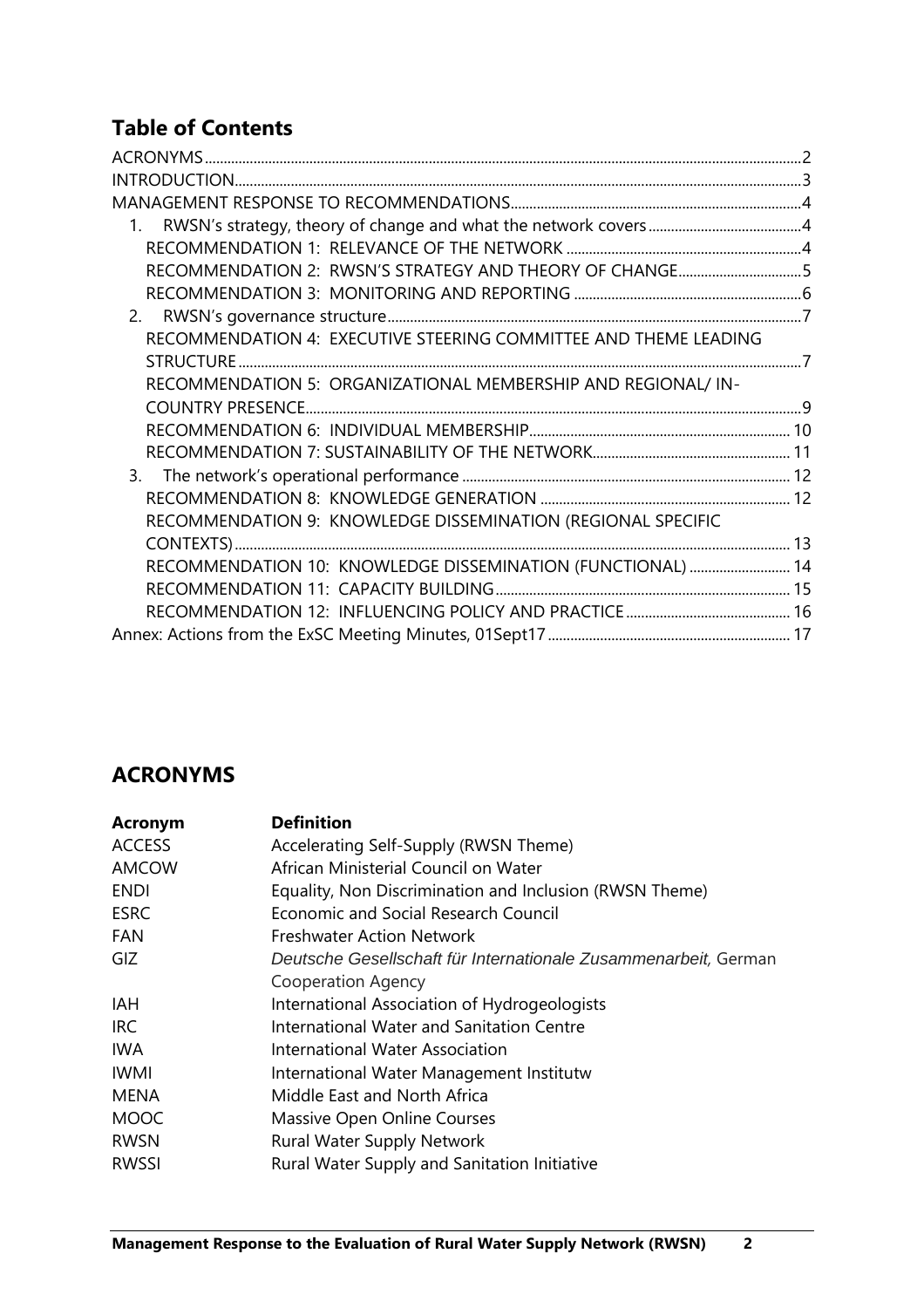# **Table of Contents**

| RECOMMENDATION 2: RWSN'S STRATEGY AND THEORY OF CHANGE5          |  |
|------------------------------------------------------------------|--|
|                                                                  |  |
|                                                                  |  |
| RECOMMENDATION 4: EXECUTIVE STEERING COMMITTEE AND THEME LEADING |  |
|                                                                  |  |
| RECOMMENDATION 5: ORGANIZATIONAL MEMBERSHIP AND REGIONAL/ IN-    |  |
|                                                                  |  |
|                                                                  |  |
|                                                                  |  |
|                                                                  |  |
|                                                                  |  |
| RECOMMENDATION 9: KNOWLEDGE DISSEMINATION (REGIONAL SPECIFIC     |  |
|                                                                  |  |
| RECOMMENDATION 10: KNOWLEDGE DISSEMINATION (FUNCTIONAL)  14      |  |
|                                                                  |  |
|                                                                  |  |
|                                                                  |  |

# <span id="page-1-0"></span>**ACRONYMS**

| Acronym       | <b>Definition</b>                                               |
|---------------|-----------------------------------------------------------------|
| <b>ACCESS</b> | Accelerating Self-Supply (RWSN Theme)                           |
| <b>AMCOW</b>  | African Ministerial Council on Water                            |
| <b>ENDI</b>   | Equality, Non Discrimination and Inclusion (RWSN Theme)         |
| <b>ESRC</b>   | Economic and Social Research Council                            |
| <b>FAN</b>    | <b>Freshwater Action Network</b>                                |
| GIZ.          | Deutsche Gesellschaft für Internationale Zusammenarbeit, German |
|               | Cooperation Agency                                              |
| <b>IAH</b>    | International Association of Hydrogeologists                    |
| IRC.          | International Water and Sanitation Centre                       |
| <b>IWA</b>    | International Water Association                                 |
| <b>IWMI</b>   | International Water Management Institutw                        |
| <b>MENA</b>   | Middle East and North Africa                                    |
| <b>MOOC</b>   | Massive Open Online Courses                                     |
| <b>RWSN</b>   | Rural Water Supply Network                                      |
| RWSSI         | <b>Rural Water Supply and Sanitation Initiative</b>             |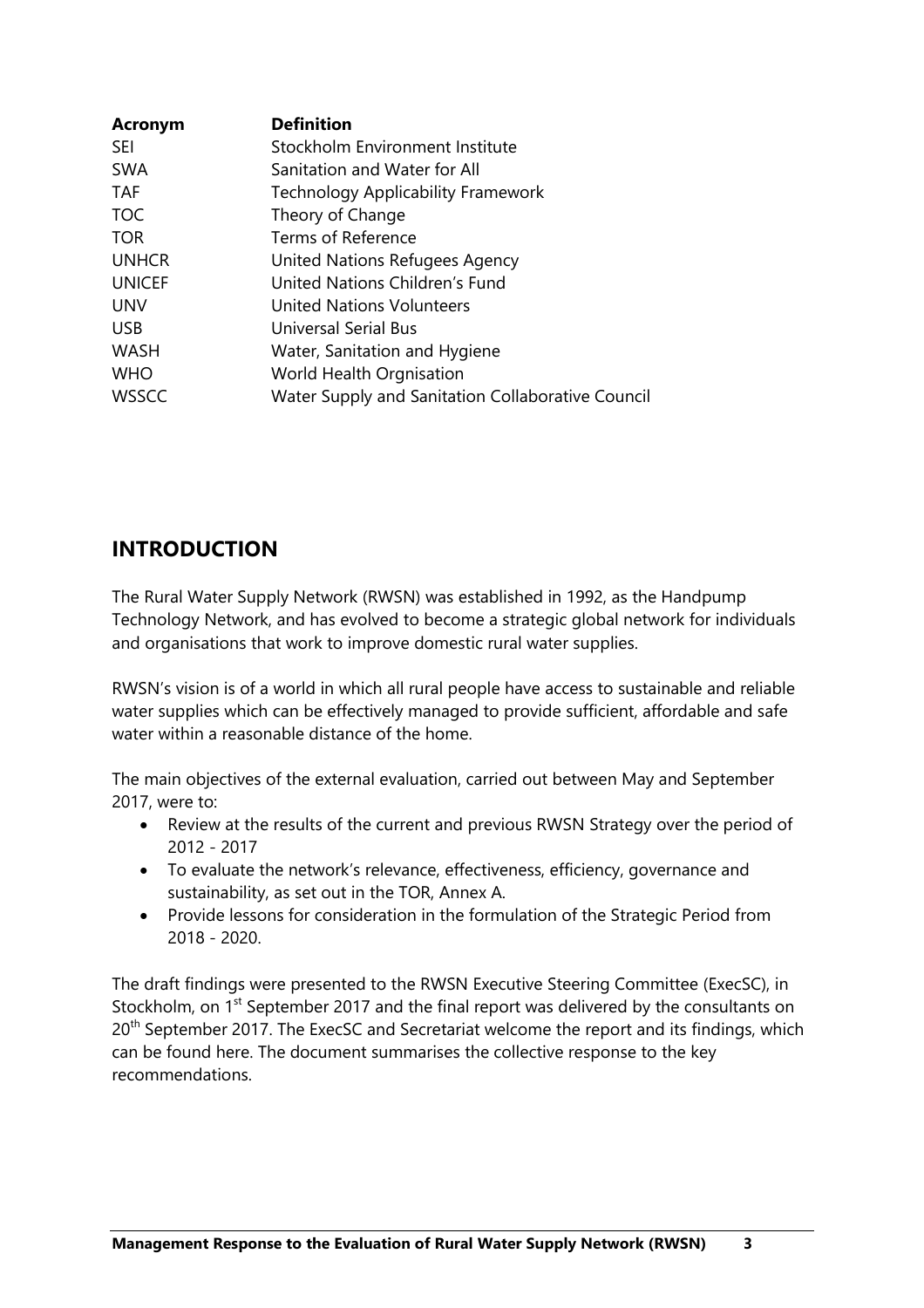| <b>Acronym</b> | <b>Definition</b>                                 |
|----------------|---------------------------------------------------|
| <b>SEI</b>     | Stockholm Environment Institute                   |
| <b>SWA</b>     | Sanitation and Water for All                      |
| <b>TAF</b>     | <b>Technology Applicability Framework</b>         |
| <b>TOC</b>     | Theory of Change                                  |
| <b>TOR</b>     | Terms of Reference                                |
| <b>UNHCR</b>   | United Nations Refugees Agency                    |
| <b>UNICEF</b>  | United Nations Children's Fund                    |
| <b>UNV</b>     | <b>United Nations Volunteers</b>                  |
| <b>USB</b>     | Universal Serial Bus                              |
| <b>WASH</b>    | Water, Sanitation and Hygiene                     |
| <b>WHO</b>     | World Health Orgnisation                          |
| <b>WSSCC</b>   | Water Supply and Sanitation Collaborative Council |

# <span id="page-2-0"></span>**INTRODUCTION**

The Rural Water Supply Network (RWSN) was established in 1992, as the Handpump Technology Network, and has evolved to become a strategic global network for individuals and organisations that work to improve domestic rural water supplies.

RWSN's vision is of a world in which all rural people have access to sustainable and reliable water supplies which can be effectively managed to provide sufficient, affordable and safe water within a reasonable distance of the home.

The main objectives of the external evaluation, carried out between May and September 2017, were to:

- Review at the results of the current and previous RWSN Strategy over the period of 2012 - 2017
- To evaluate the network's relevance, effectiveness, efficiency, governance and sustainability, as set out in the TOR, Annex A.
- Provide lessons for consideration in the formulation of the Strategic Period from 2018 - 2020.

The draft findings were presented to the RWSN Executive Steering Committee (ExecSC), in Stockholm, on 1<sup>st</sup> September 2017 and the final report was delivered by the consultants on 20<sup>th</sup> September 2017. The ExecSC and Secretariat welcome the report and its findings, which can be found here. The document summarises the collective response to the key recommendations.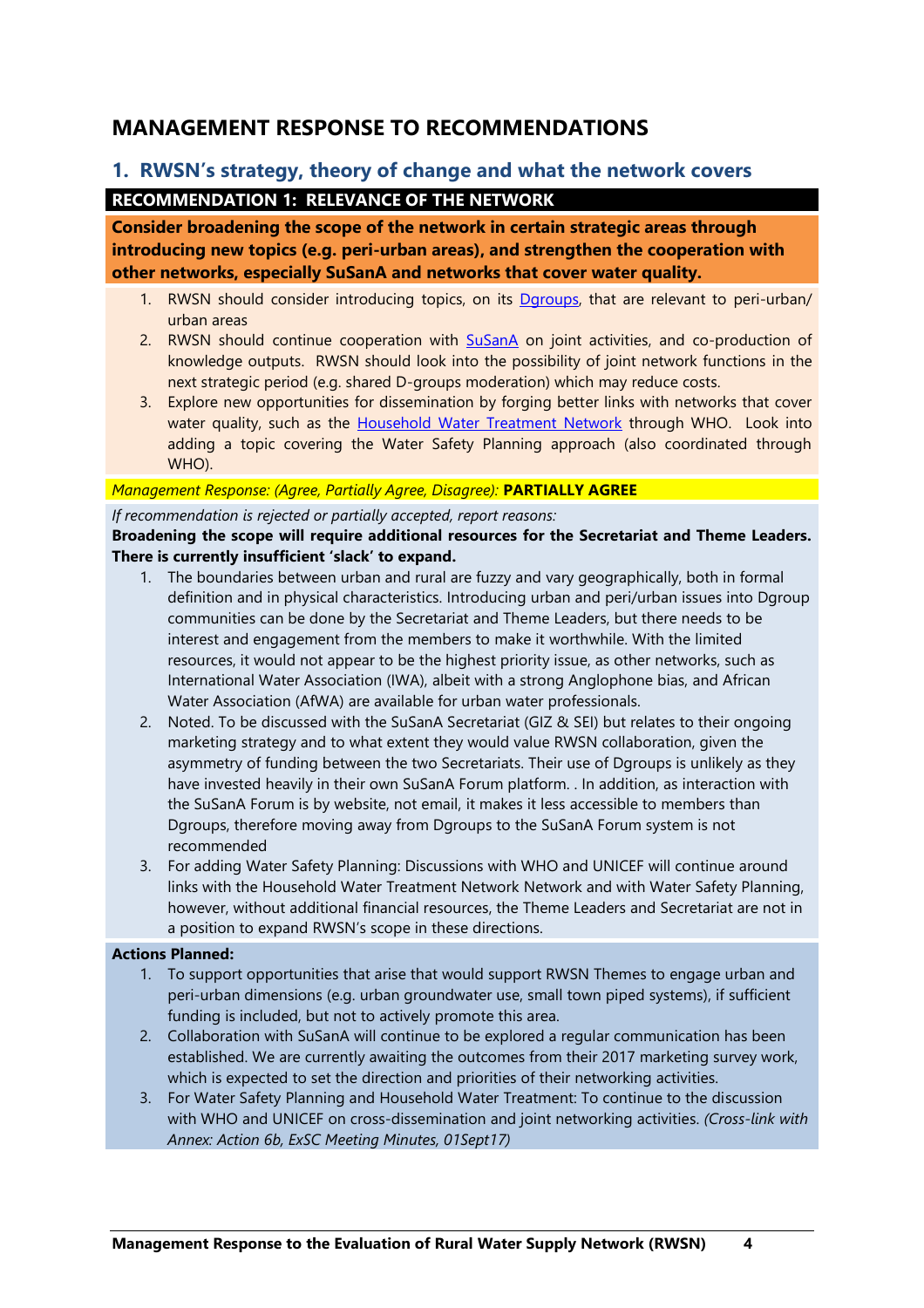# <span id="page-3-0"></span>**MANAGEMENT RESPONSE TO RECOMMENDATIONS**

# <span id="page-3-2"></span><span id="page-3-1"></span>**1. RWSN's strategy, theory of change and what the network covers RECOMMENDATION 1: RELEVANCE OF THE NETWORK**

**Consider broadening the scope of the network in certain strategic areas through introducing new topics (e.g. peri-urban areas), and strengthen the cooperation with other networks, especially SuSanA and networks that cover water quality.** 

- 1. RWSN should consider introducing topics, on its [Dgroups,](https://dgroups.org/rwsn/) that are relevant to peri-urban/ urban areas
- 2. RWSN should continue cooperation with [SuSanA](http://www.susana.org/en/) on joint activities, and co-production of knowledge outputs. RWSN should look into the possibility of joint network functions in the next strategic period (e.g. shared D-groups moderation) which may reduce costs.
- 3. Explore new opportunities for dissemination by forging better links with networks that cover water quality, such as the [Household Water Treatment Network](http://hwts.web.unc.edu/) through WHO. Look into adding a topic covering the Water Safety Planning approach (also coordinated through WHO).

### *Management Response: (Agree, Partially Agree, Disagree):* **PARTIALLY AGREE**

*If recommendation is rejected or partially accepted, report reasons:*

## **Broadening the scope will require additional resources for the Secretariat and Theme Leaders. There is currently insufficient 'slack' to expand.**

- 1. The boundaries between urban and rural are fuzzy and vary geographically, both in formal definition and in physical characteristics. Introducing urban and peri/urban issues into Dgroup communities can be done by the Secretariat and Theme Leaders, but there needs to be interest and engagement from the members to make it worthwhile. With the limited resources, it would not appear to be the highest priority issue, as other networks, such as International Water Association (IWA), albeit with a strong Anglophone bias, and African Water Association (AfWA) are available for urban water professionals.
- 2. Noted. To be discussed with the SuSanA Secretariat (GIZ & SEI) but relates to their ongoing marketing strategy and to what extent they would value RWSN collaboration, given the asymmetry of funding between the two Secretariats. Their use of Dgroups is unlikely as they have invested heavily in their own SuSanA Forum platform. . In addition, as interaction with the SuSanA Forum is by website, not email, it makes it less accessible to members than Dgroups, therefore moving away from Dgroups to the SuSanA Forum system is not recommended
- 3. For adding Water Safety Planning: Discussions with WHO and UNICEF will continue around links with the Household Water Treatment Network Network and with Water Safety Planning, however, without additional financial resources, the Theme Leaders and Secretariat are not in a position to expand RWSN's scope in these directions.

- 1. To support opportunities that arise that would support RWSN Themes to engage urban and peri-urban dimensions (e.g. urban groundwater use, small town piped systems), if sufficient funding is included, but not to actively promote this area.
- 2. Collaboration with SuSanA will continue to be explored a regular communication has been established. We are currently awaiting the outcomes from their 2017 marketing survey work, which is expected to set the direction and priorities of their networking activities.
- 3. For Water Safety Planning and Household Water Treatment: To continue to the discussion with WHO and UNICEF on cross-dissemination and joint networking activities. *(Cross-link with Annex: Action 6b, ExSC Meeting Minutes, 01Sept17)*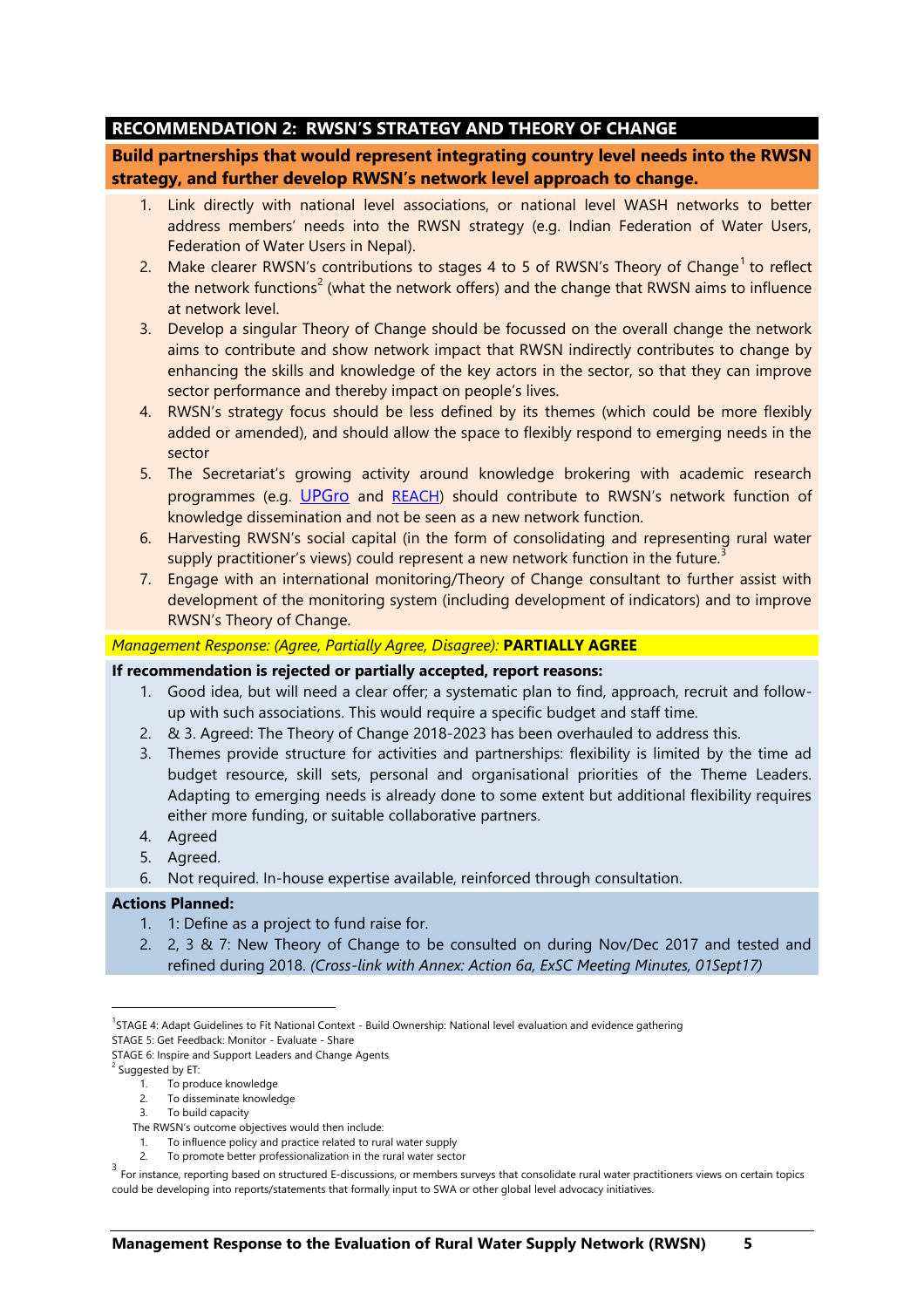# <span id="page-4-0"></span>**RECOMMENDATION 2: RWSN'S STRATEGY AND THEORY OF CHANGE**

**Build partnerships that would represent integrating country level needs into the RWSN strategy, and further develop RWSN's network level approach to change.** 

- 1. Link directly with national level associations, or national level WASH networks to better address members' needs into the RWSN strategy (e.g. Indian Federation of Water Users, Federation of Water Users in Nepal).
- 2. Make clearer RWSN's contributions to stages 4 to 5 of RWSN's Theory of Change<sup>1</sup> to reflect the network functions<sup>2</sup> (what the network offers) and the change that RWSN aims to influence at network level.
- 3. Develop a singular Theory of Change should be focussed on the overall change the network aims to contribute and show network impact that RWSN indirectly contributes to change by enhancing the skills and knowledge of the key actors in the sector, so that they can improve sector performance and thereby impact on people's lives.
- 4. RWSN's strategy focus should be less defined by its themes (which could be more flexibly added or amended), and should allow the space to flexibly respond to emerging needs in the sector
- 5. The Secretariat's growing activity around knowledge brokering with academic research programmes (e.g. [UPGro](https://upgro.org/) and [REACH](http://reachwater.org.uk/)) should contribute to RWSN's network function of knowledge dissemination and not be seen as a new network function.
- 6. Harvesting RWSN's social capital (in the form of consolidating and representing rural water supply practitioner's views) could represent a new network function in the future.<sup>3</sup>
- 7. Engage with an international monitoring/Theory of Change consultant to further assist with development of the monitoring system (including development of indicators) and to improve RWSN's Theory of Change.

### *Management Response: (Agree, Partially Agree, Disagree):* **PARTIALLY AGREE**

#### **If recommendation is rejected or partially accepted, report reasons:**

- 1. Good idea, but will need a clear offer; a systematic plan to find, approach, recruit and followup with such associations. This would require a specific budget and staff time.
- 2. & 3. Agreed: The Theory of Change 2018-2023 has been overhauled to address this.
- 3. Themes provide structure for activities and partnerships: flexibility is limited by the time ad budget resource, skill sets, personal and organisational priorities of the Theme Leaders. Adapting to emerging needs is already done to some extent but additional flexibility requires either more funding, or suitable collaborative partners.
- 4. Agreed
- 5. Agreed.
- 6. Not required. In-house expertise available, reinforced through consultation.

#### **Actions Planned:**

- 1. 1: Define as a project to fund raise for.
- 2. 2, 3 & 7: New Theory of Change to be consulted on during Nov/Dec 2017 and tested and refined during 2018. *(Cross-link with Annex: Action 6a, ExSC Meeting Minutes, 01Sept17)*

- 2. To disseminate knowledge
- 3. To build capacity
- The RWSN's outcome objectives would then include:
- 1. To influence policy and practice related to rural water supply
- 2. To promote better professionalization in the rural water sector

<sup>&</sup>lt;sup>1</sup>STAGE 4: Adapt Guidelines to Fit National Context - Build Ownership: National level evaluation and evidence gathering

STAGE 5: Get Feedback: Monitor - Evaluate - Share STAGE 6: Inspire and Support Leaders and Change Agents

<sup>&</sup>lt;sup>2</sup> Suggested by ET:

<sup>1.</sup> To produce knowledge

 $3\overline{ }$  For instance, reporting based on structured E-discussions, or members surveys that consolidate rural water practitioners views on certain topics could be developing into reports/statements that formally input to SWA or other global level advocacy initiatives.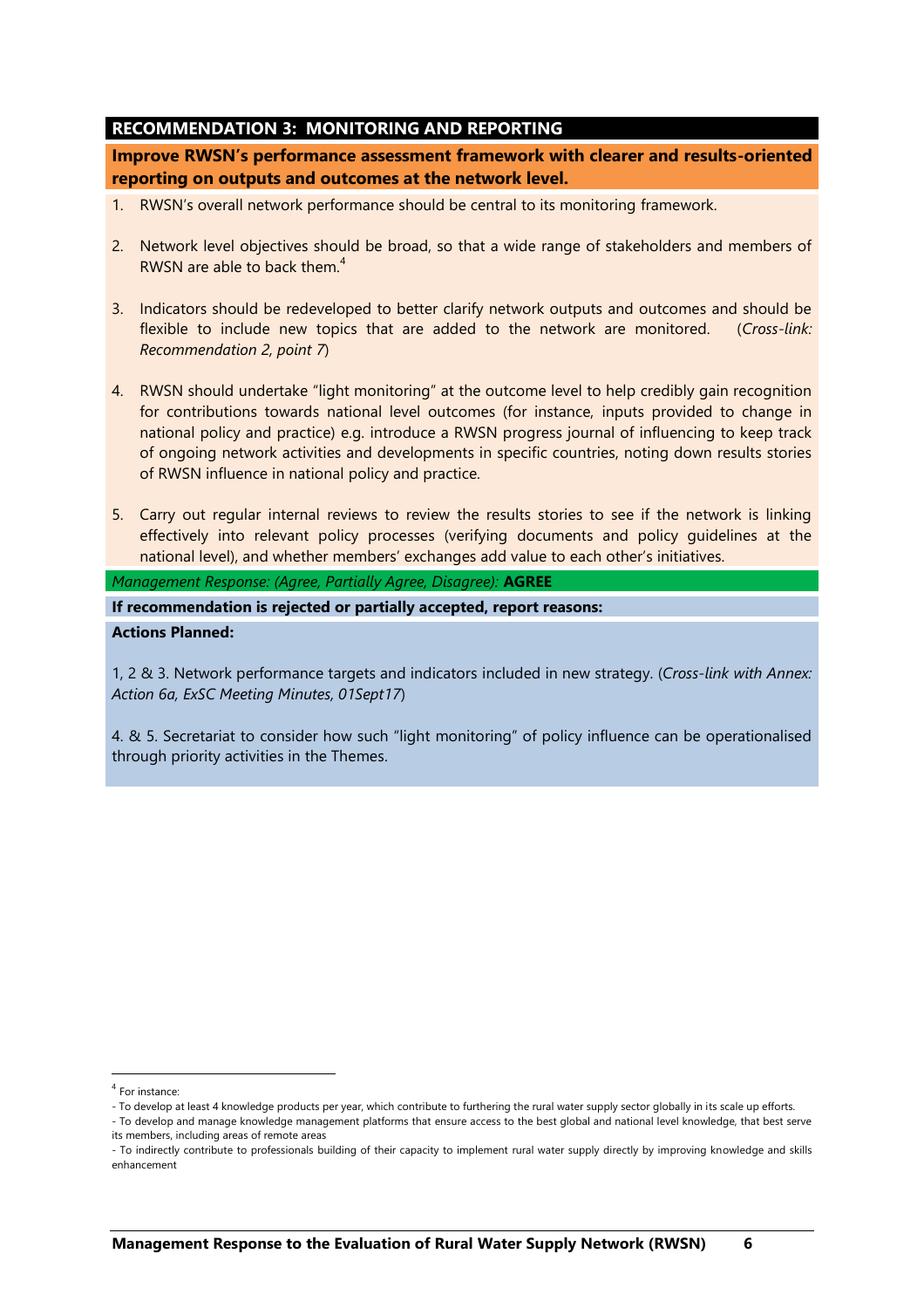## <span id="page-5-0"></span>**RECOMMENDATION 3: MONITORING AND REPORTING**

**Improve RWSN's performance assessment framework with clearer and results-oriented reporting on outputs and outcomes at the network level.** 

- 1. RWSN's overall network performance should be central to its monitoring framework.
- 2. Network level objectives should be broad, so that a wide range of stakeholders and members of RWSN are able to back them. $4$
- 3. Indicators should be redeveloped to better clarify network outputs and outcomes and should be flexible to include new topics that are added to the network are monitored. (*Cross-link: Recommendation 2, point 7*)
- 4. RWSN should undertake "light monitoring" at the outcome level to help credibly gain recognition for contributions towards national level outcomes (for instance, inputs provided to change in national policy and practice) e.g. introduce a RWSN progress journal of influencing to keep track of ongoing network activities and developments in specific countries, noting down results stories of RWSN influence in national policy and practice.
- 5. Carry out regular internal reviews to review the results stories to see if the network is linking effectively into relevant policy processes (verifying documents and policy guidelines at the national level), and whether members' exchanges add value to each other's initiatives.

*Management Response: (Agree, Partially Agree, Disagree):* **AGREE**

**If recommendation is rejected or partially accepted, report reasons:**

### **Actions Planned:**

1, 2 & 3. Network performance targets and indicators included in new strategy. (*Cross-link with Annex: Action 6a, ExSC Meeting Minutes, 01Sept17*)

4. & 5. Secretariat to consider how such "light monitoring" of policy influence can be operationalised through priority activities in the Themes.

 $\overline{a}$ 

<sup>4</sup> For instance:

<sup>-</sup> To develop at least 4 knowledge products per year, which contribute to furthering the rural water supply sector globally in its scale up efforts.

<sup>-</sup> To develop and manage knowledge management platforms that ensure access to the best global and national level knowledge, that best serve its members, including areas of remote areas

<sup>-</sup> To indirectly contribute to professionals building of their capacity to implement rural water supply directly by improving knowledge and skills enhancement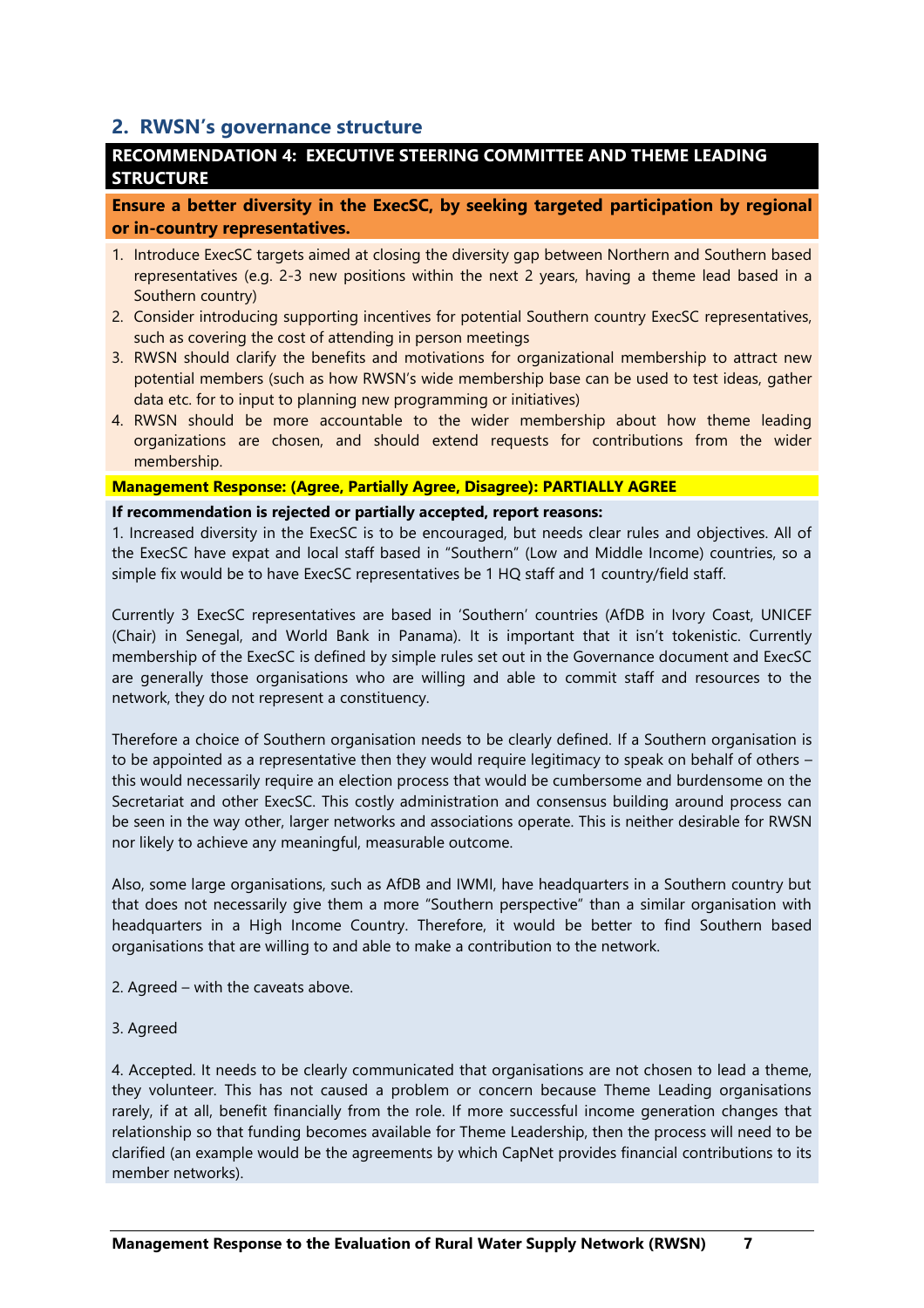# <span id="page-6-0"></span>**2. RWSN's governance structure**

# <span id="page-6-1"></span>**RECOMMENDATION 4: EXECUTIVE STEERING COMMITTEE AND THEME LEADING STRUCTURE**

**Ensure a better diversity in the ExecSC, by seeking targeted participation by regional or in-country representatives.**

- 1. Introduce ExecSC targets aimed at closing the diversity gap between Northern and Southern based representatives (e.g. 2-3 new positions within the next 2 years, having a theme lead based in a Southern country)
- 2. Consider introducing supporting incentives for potential Southern country ExecSC representatives, such as covering the cost of attending in person meetings
- 3. RWSN should clarify the benefits and motivations for organizational membership to attract new potential members (such as how RWSN's wide membership base can be used to test ideas, gather data etc. for to input to planning new programming or initiatives)
- 4. RWSN should be more accountable to the wider membership about how theme leading organizations are chosen, and should extend requests for contributions from the wider membership.

#### **Management Response: (Agree, Partially Agree, Disagree): PARTIALLY AGREE**

#### **If recommendation is rejected or partially accepted, report reasons:**

1. Increased diversity in the ExecSC is to be encouraged, but needs clear rules and objectives. All of the ExecSC have expat and local staff based in "Southern" (Low and Middle Income) countries, so a simple fix would be to have ExecSC representatives be 1 HQ staff and 1 country/field staff.

Currently 3 ExecSC representatives are based in 'Southern' countries (AfDB in Ivory Coast, UNICEF (Chair) in Senegal, and World Bank in Panama). It is important that it isn't tokenistic. Currently membership of the ExecSC is defined by simple rules set out in the Governance document and ExecSC are generally those organisations who are willing and able to commit staff and resources to the network, they do not represent a constituency.

Therefore a choice of Southern organisation needs to be clearly defined. If a Southern organisation is to be appointed as a representative then they would require legitimacy to speak on behalf of others this would necessarily require an election process that would be cumbersome and burdensome on the Secretariat and other ExecSC. This costly administration and consensus building around process can be seen in the way other, larger networks and associations operate. This is neither desirable for RWSN nor likely to achieve any meaningful, measurable outcome.

Also, some large organisations, such as AfDB and IWMI, have headquarters in a Southern country but that does not necessarily give them a more "Southern perspective" than a similar organisation with headquarters in a High Income Country. Therefore, it would be better to find Southern based organisations that are willing to and able to make a contribution to the network.

- 2. Agreed with the caveats above.
- 3. Agreed

4. Accepted. It needs to be clearly communicated that organisations are not chosen to lead a theme, they volunteer. This has not caused a problem or concern because Theme Leading organisations rarely, if at all, benefit financially from the role. If more successful income generation changes that relationship so that funding becomes available for Theme Leadership, then the process will need to be clarified (an example would be the agreements by which CapNet provides financial contributions to its member networks).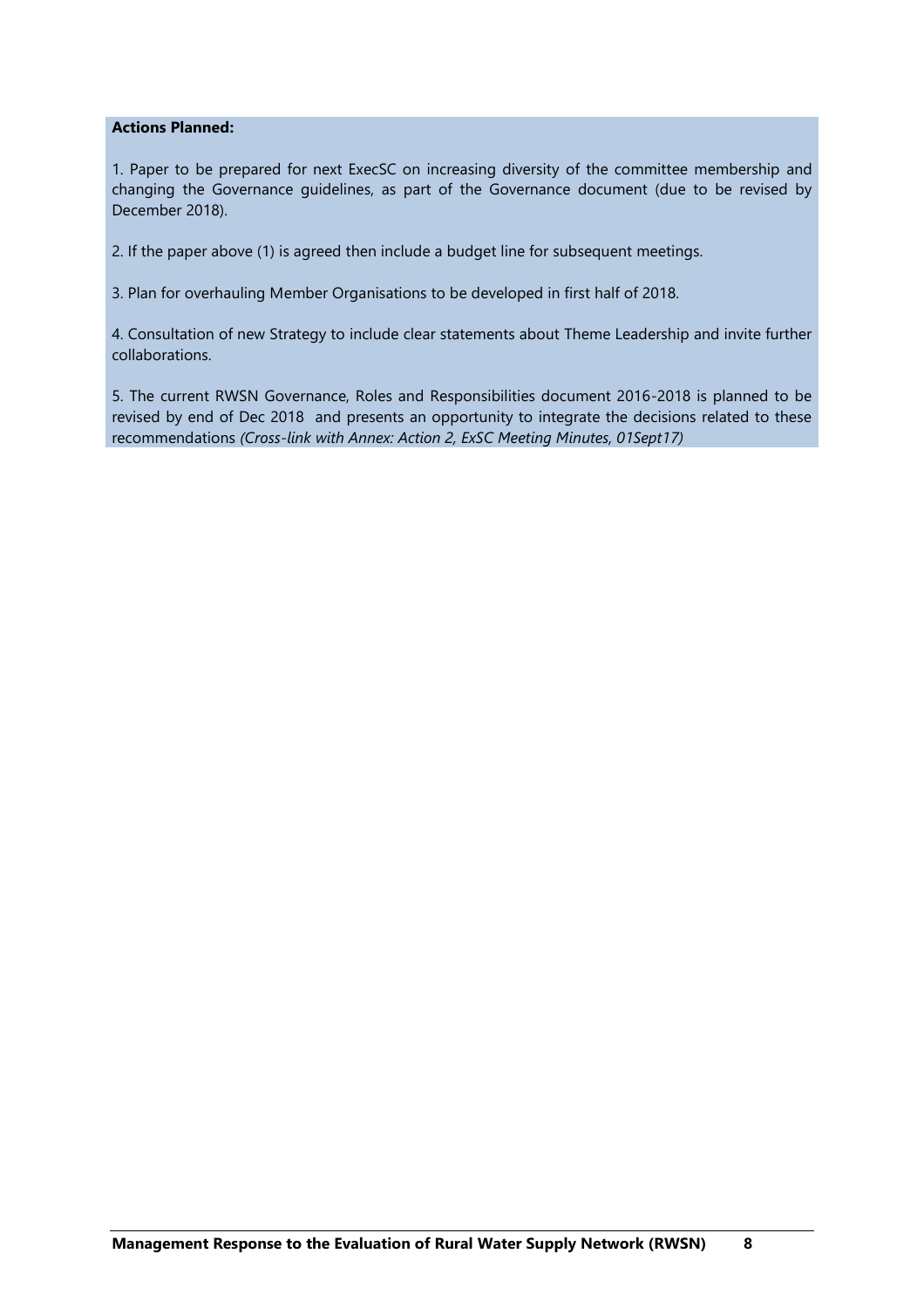#### **Actions Planned:**

1. Paper to be prepared for next ExecSC on increasing diversity of the committee membership and changing the Governance guidelines, as part of the Governance document (due to be revised by December 2018).

2. If the paper above (1) is agreed then include a budget line for subsequent meetings.

3. Plan for overhauling Member Organisations to be developed in first half of 2018.

4. Consultation of new Strategy to include clear statements about Theme Leadership and invite further collaborations.

5. The current RWSN Governance, Roles and Responsibilities document 2016-2018 is planned to be revised by end of Dec 2018 and presents an opportunity to integrate the decisions related to these recommendations *(Cross-link with Annex: Action 2, ExSC Meeting Minutes, 01Sept17)*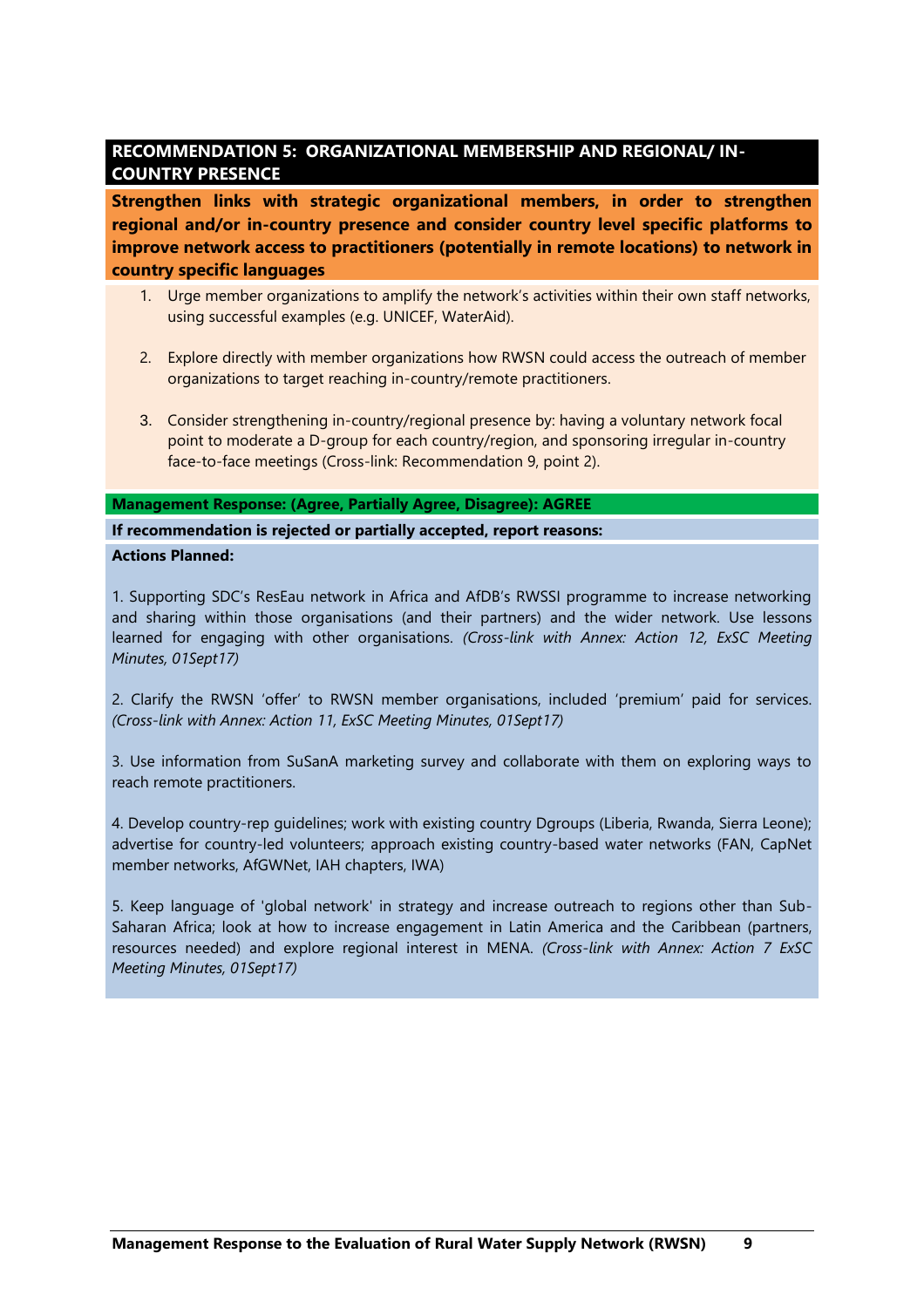# <span id="page-8-0"></span>**RECOMMENDATION 5: ORGANIZATIONAL MEMBERSHIP AND REGIONAL/ IN-COUNTRY PRESENCE**

**Strengthen links with strategic organizational members, in order to strengthen regional and/or in-country presence and consider country level specific platforms to improve network access to practitioners (potentially in remote locations) to network in country specific languages**

- 1. Urge member organizations to amplify the network's activities within their own staff networks, using successful examples (e.g. UNICEF, WaterAid).
- 2. Explore directly with member organizations how RWSN could access the outreach of member organizations to target reaching in-country/remote practitioners.
- 3. Consider strengthening in-country/regional presence by: having a voluntary network focal point to moderate a D-group for each country/region, and sponsoring irregular in-country face-to-face meetings (Cross-link: Recommendation 9, point 2).

**Management Response: (Agree, Partially Agree, Disagree): AGREE**

**If recommendation is rejected or partially accepted, report reasons: Actions Planned:**

1. Supporting SDC's ResEau network in Africa and AfDB's RWSSI programme to increase networking and sharing within those organisations (and their partners) and the wider network. Use lessons learned for engaging with other organisations. *(Cross-link with Annex: Action 12, ExSC Meeting Minutes, 01Sept17)*

2. Clarify the RWSN 'offer' to RWSN member organisations, included 'premium' paid for services. *(Cross-link with Annex: Action 11, ExSC Meeting Minutes, 01Sept17)*

3. Use information from SuSanA marketing survey and collaborate with them on exploring ways to reach remote practitioners.

4. Develop country-rep guidelines; work with existing country Dgroups (Liberia, Rwanda, Sierra Leone); advertise for country-led volunteers; approach existing country-based water networks (FAN, CapNet member networks, AfGWNet, IAH chapters, IWA)

5. Keep language of 'global network' in strategy and increase outreach to regions other than Sub-Saharan Africa; look at how to increase engagement in Latin America and the Caribbean (partners, resources needed) and explore regional interest in MENA. *(Cross-link with Annex: Action 7 ExSC Meeting Minutes, 01Sept17)*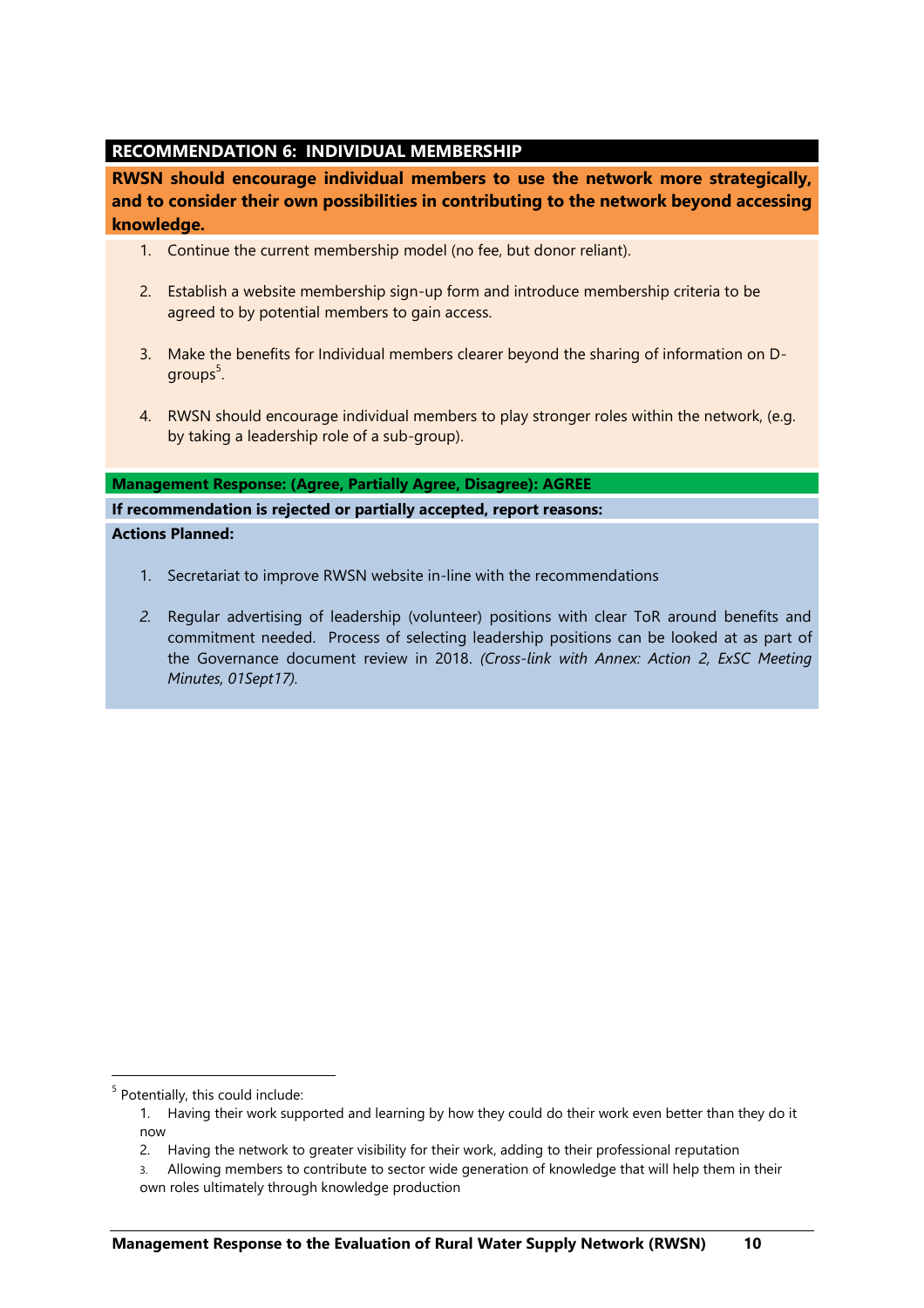# <span id="page-9-0"></span>**RECOMMENDATION 6: INDIVIDUAL MEMBERSHIP**

**RWSN should encourage individual members to use the network more strategically, and to consider their own possibilities in contributing to the network beyond accessing knowledge.** 

- 1. Continue the current membership model (no fee, but donor reliant).
- 2. Establish a website membership sign-up form and introduce membership criteria to be agreed to by potential members to gain access.
- 3. Make the benefits for Individual members clearer beyond the sharing of information on Dgroups $5$ .
- 4. RWSN should encourage individual members to play stronger roles within the network, (e.g. by taking a leadership role of a sub-group).

#### **Management Response: (Agree, Partially Agree, Disagree): AGREE**

**If recommendation is rejected or partially accepted, report reasons: Actions Planned:**

- 1. Secretariat to improve RWSN website in-line with the recommendations
- *2.* Regular advertising of leadership (volunteer) positions with clear ToR around benefits and commitment needed. Process of selecting leadership positions can be looked at as part of the Governance document review in 2018. *(Cross-link with Annex: Action 2, ExSC Meeting Minutes, 01Sept17).*

<sup>&</sup>lt;sup>5</sup> Potentially, this could include:

<sup>1.</sup> Having their work supported and learning by how they could do their work even better than they do it now

<sup>2.</sup> Having the network to greater visibility for their work, adding to their professional reputation

<sup>3.</sup> Allowing members to contribute to sector wide generation of knowledge that will help them in their own roles ultimately through knowledge production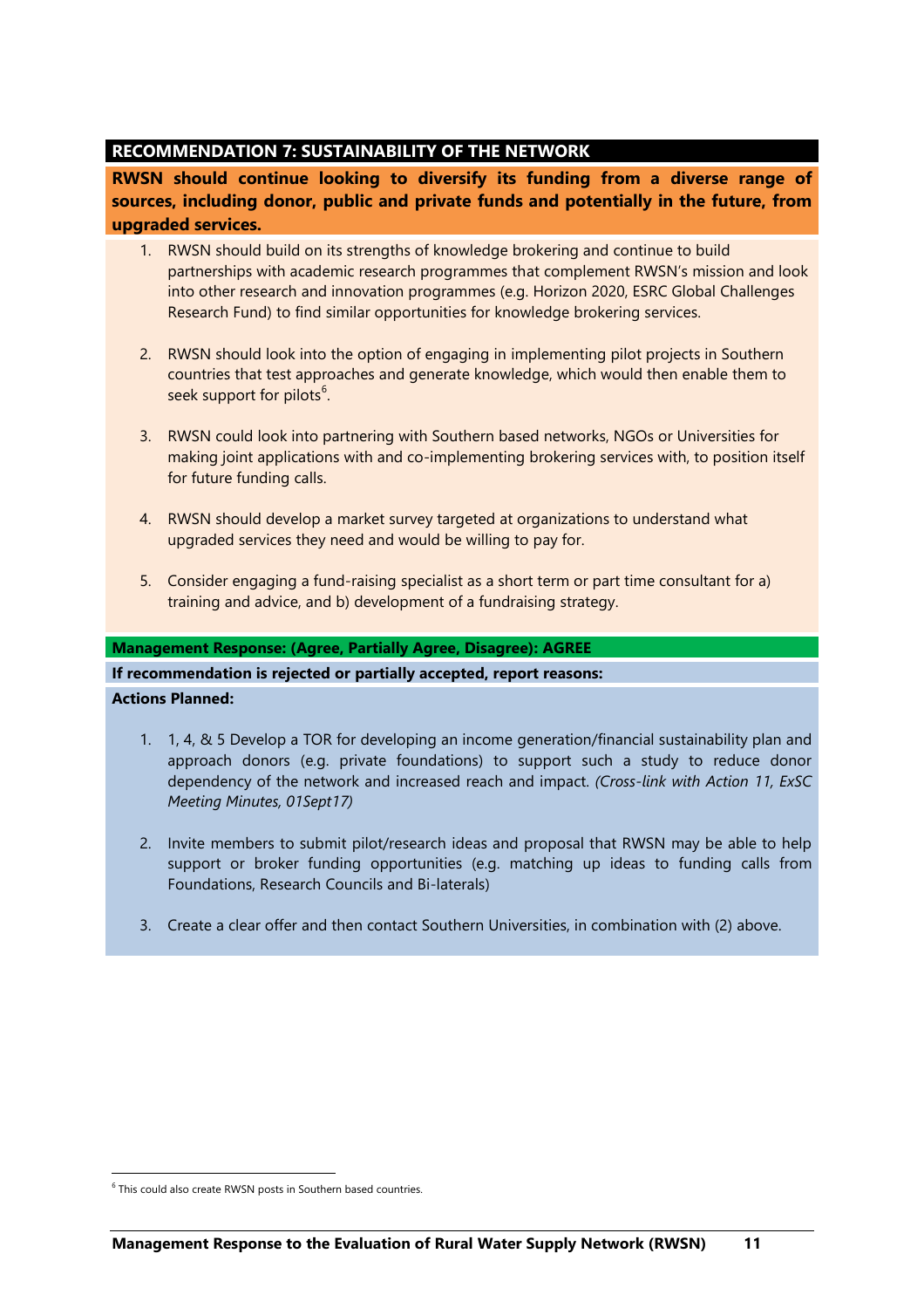# <span id="page-10-0"></span>**RECOMMENDATION 7: SUSTAINABILITY OF THE NETWORK**

**RWSN should continue looking to diversify its funding from a diverse range of sources, including donor, public and private funds and potentially in the future, from upgraded services.** 

- 1. RWSN should build on its strengths of knowledge brokering and continue to build partnerships with academic research programmes that complement RWSN's mission and look into other research and innovation programmes (e.g. Horizon 2020, ESRC Global Challenges Research Fund) to find similar opportunities for knowledge brokering services.
- 2. RWSN should look into the option of engaging in implementing pilot projects in Southern countries that test approaches and generate knowledge, which would then enable them to seek support for pilots<sup>6</sup>.
- 3. RWSN could look into partnering with Southern based networks, NGOs or Universities for making joint applications with and co-implementing brokering services with, to position itself for future funding calls.
- 4. RWSN should develop a market survey targeted at organizations to understand what upgraded services they need and would be willing to pay for.
- 5. Consider engaging a fund-raising specialist as a short term or part time consultant for a) training and advice, and b) development of a fundraising strategy.

#### **Management Response: (Agree, Partially Agree, Disagree): AGREE**

## **If recommendation is rejected or partially accepted, report reasons:**

## **Actions Planned:**

 $\overline{a}$ 

- 1. 1, 4, & 5 Develop a TOR for developing an income generation/financial sustainability plan and approach donors (e.g. private foundations) to support such a study to reduce donor dependency of the network and increased reach and impact. *(Cross-link with Action 11, ExSC Meeting Minutes, 01Sept17)*
- 2. Invite members to submit pilot/research ideas and proposal that RWSN may be able to help support or broker funding opportunities (e.g. matching up ideas to funding calls from Foundations, Research Councils and Bi-laterals)
- 3. Create a clear offer and then contact Southern Universities, in combination with (2) above.

<sup>&</sup>lt;sup>6</sup> This could also create RWSN posts in Southern based countries.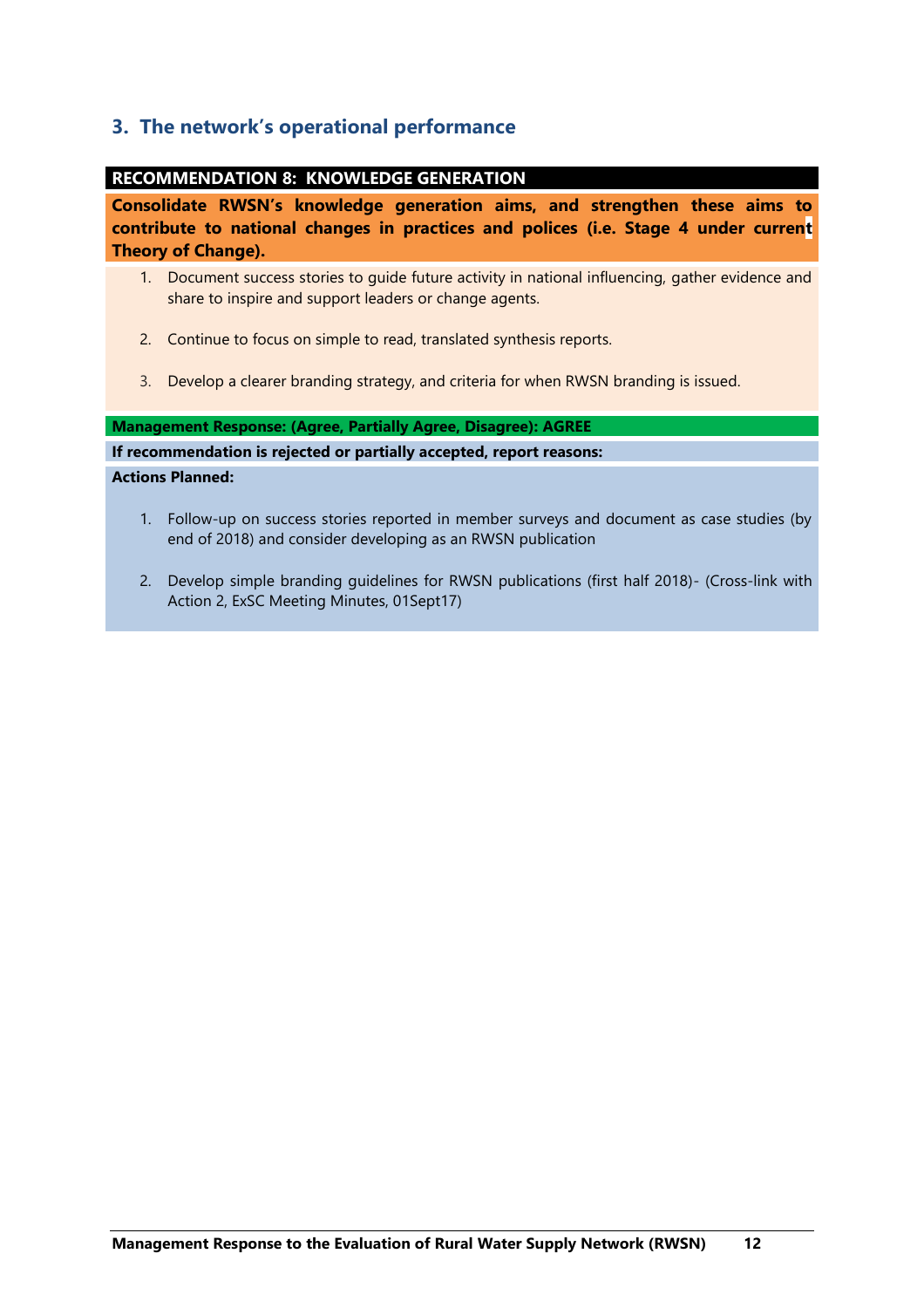# <span id="page-11-0"></span>**3. The network's operational performance**

## <span id="page-11-1"></span>**RECOMMENDATION 8: KNOWLEDGE GENERATION**

**Consolidate RWSN's knowledge generation aims, and strengthen these aims to contribute to national changes in practices and polices (i.e. Stage 4 under current Theory of Change).** 

- 1. Document success stories to guide future activity in national influencing, gather evidence and share to inspire and support leaders or change agents.
- 2. Continue to focus on simple to read, translated synthesis reports.
- 3. Develop a clearer branding strategy, and criteria for when RWSN branding is issued.

#### **Management Response: (Agree, Partially Agree, Disagree): AGREE**

#### **If recommendation is rejected or partially accepted, report reasons:**

- 1. Follow-up on success stories reported in member surveys and document as case studies (by end of 2018) and consider developing as an RWSN publication
- 2. Develop simple branding guidelines for RWSN publications (first half 2018)- (Cross-link with Action 2, ExSC Meeting Minutes, 01Sept17)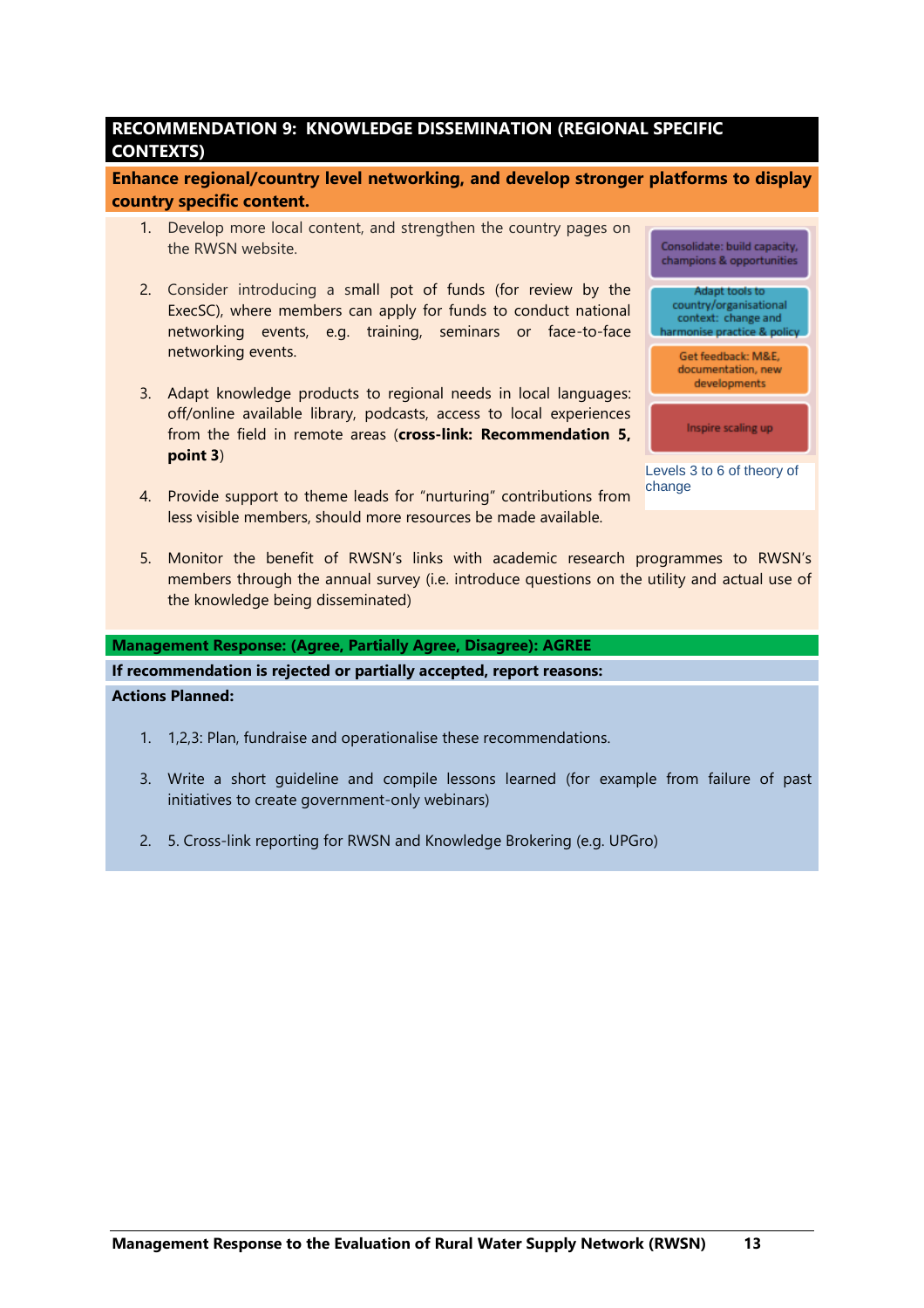# <span id="page-12-0"></span>**RECOMMENDATION 9: KNOWLEDGE DISSEMINATION (REGIONAL SPECIFIC CONTEXTS)**

**Enhance regional/country level networking, and develop stronger platforms to display country specific content.** 

- 1. Develop more local content, and strengthen the country pages on the RWSN website.
- 2. Consider introducing a small pot of funds (for review by the ExecSC), where members can apply for funds to conduct national networking events, e.g. training, seminars or face-to-face networking events.
- 3. Adapt knowledge products to regional needs in local languages: off/online available library, podcasts, access to local experiences from the field in remote areas (**cross-link: Recommendation 5, point 3**)
- 4. Provide support to theme leads for "nurturing" contributions from less visible members, should more resources be made available.



change

5. Monitor the benefit of RWSN's links with academic research programmes to RWSN's members through the annual survey (i.e. introduce questions on the utility and actual use of the knowledge being disseminated)

#### **Management Response: (Agree, Partially Agree, Disagree): AGREE**

**If recommendation is rejected or partially accepted, report reasons:**

- 1. 1,2,3: Plan, fundraise and operationalise these recommendations.
- 3. Write a short guideline and compile lessons learned (for example from failure of past initiatives to create government-only webinars)
- 2. 5. Cross-link reporting for RWSN and Knowledge Brokering (e.g. UPGro)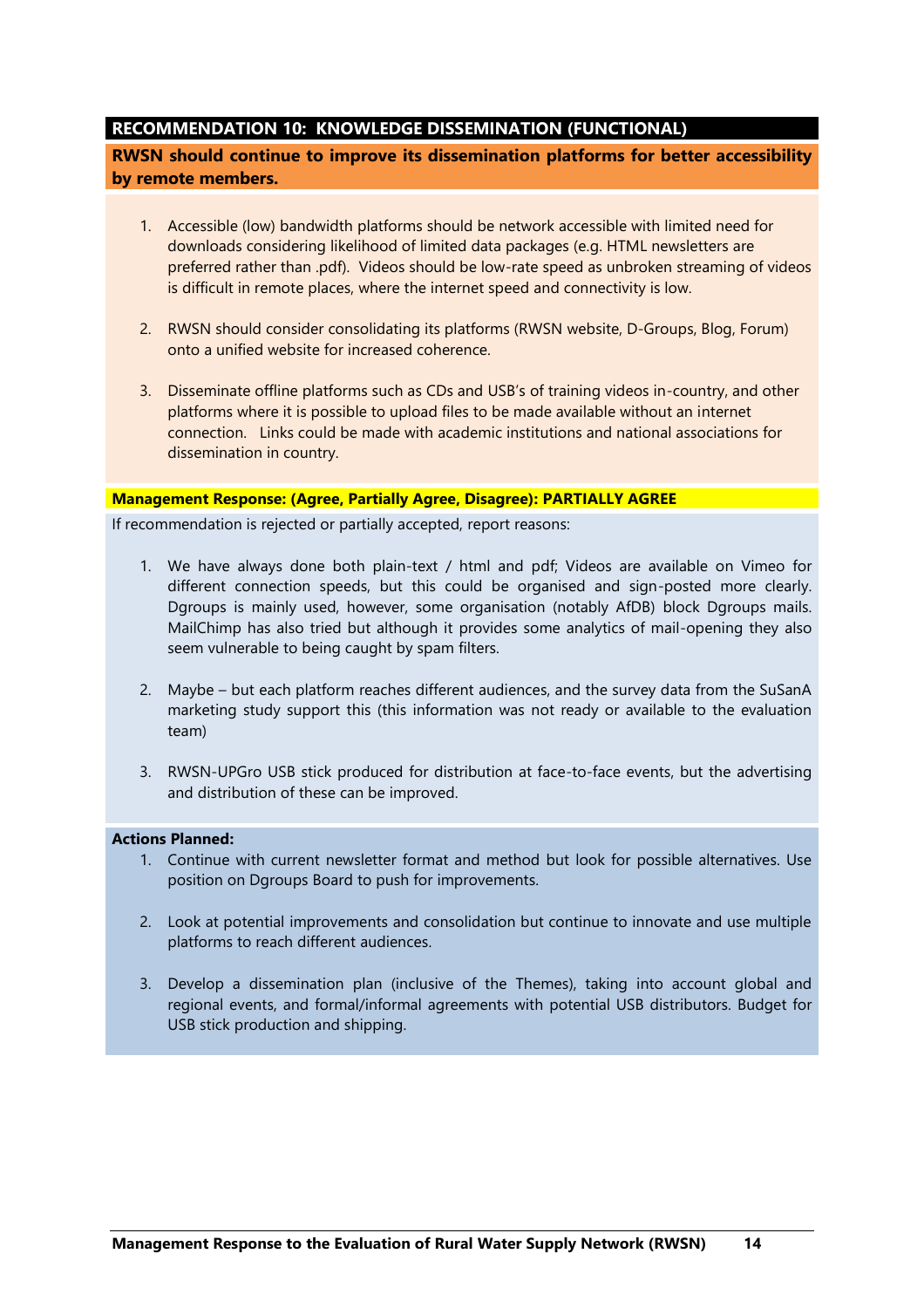# <span id="page-13-0"></span>**RECOMMENDATION 10: KNOWLEDGE DISSEMINATION (FUNCTIONAL)**

**RWSN should continue to improve its dissemination platforms for better accessibility by remote members.** 

- 1. Accessible (low) bandwidth platforms should be network accessible with limited need for downloads considering likelihood of limited data packages (e.g. HTML newsletters are preferred rather than .pdf). Videos should be low-rate speed as unbroken streaming of videos is difficult in remote places, where the internet speed and connectivity is low.
- 2. RWSN should consider consolidating its platforms (RWSN website, D-Groups, Blog, Forum) onto a unified website for increased coherence.
- 3. Disseminate offline platforms such as CDs and USB's of training videos in-country, and other platforms where it is possible to upload files to be made available without an internet connection. Links could be made with academic institutions and national associations for dissemination in country.

#### **Management Response: (Agree, Partially Agree, Disagree): PARTIALLY AGREE**

If recommendation is rejected or partially accepted, report reasons:

- 1. We have always done both plain-text / html and pdf; Videos are available on Vimeo for different connection speeds, but this could be organised and sign-posted more clearly. Dgroups is mainly used, however, some organisation (notably AfDB) block Dgroups mails. MailChimp has also tried but although it provides some analytics of mail-opening they also seem vulnerable to being caught by spam filters.
- 2. Maybe but each platform reaches different audiences, and the survey data from the SuSanA marketing study support this (this information was not ready or available to the evaluation team)
- 3. RWSN-UPGro USB stick produced for distribution at face-to-face events, but the advertising and distribution of these can be improved.

- 1. Continue with current newsletter format and method but look for possible alternatives. Use position on Dgroups Board to push for improvements.
- 2. Look at potential improvements and consolidation but continue to innovate and use multiple platforms to reach different audiences.
- 3. Develop a dissemination plan (inclusive of the Themes), taking into account global and regional events, and formal/informal agreements with potential USB distributors. Budget for USB stick production and shipping.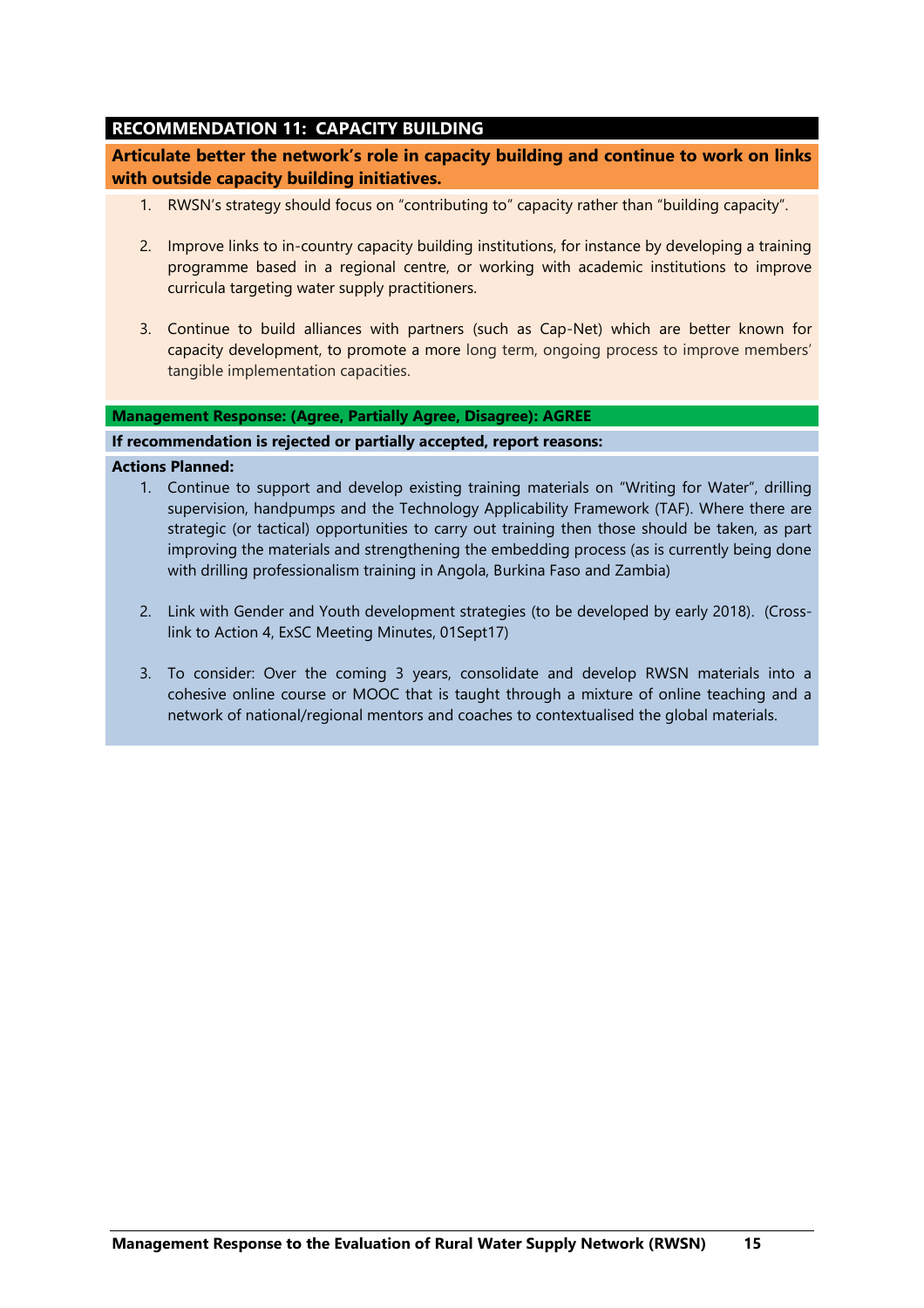# <span id="page-14-0"></span>**RECOMMENDATION 11: CAPACITY BUILDING**

**Articulate better the network's role in capacity building and continue to work on links with outside capacity building initiatives.** 

- 1. RWSN's strategy should focus on "contributing to" capacity rather than "building capacity".
- 2. Improve links to in-country capacity building institutions, for instance by developing a training programme based in a regional centre, or working with academic institutions to improve curricula targeting water supply practitioners.
- 3. Continue to build alliances with partners (such as Cap-Net) which are better known for capacity development, to promote a more long term, ongoing process to improve members' tangible implementation capacities.

### **Management Response: (Agree, Partially Agree, Disagree): AGREE**

## **If recommendation is rejected or partially accepted, report reasons:**

- 1. Continue to support and develop existing training materials on "Writing for Water", drilling supervision, handpumps and the Technology Applicability Framework (TAF). Where there are strategic (or tactical) opportunities to carry out training then those should be taken, as part improving the materials and strengthening the embedding process (as is currently being done with drilling professionalism training in Angola, Burkina Faso and Zambia)
- 2. Link with Gender and Youth development strategies (to be developed by early 2018). (Crosslink to Action 4, ExSC Meeting Minutes, 01Sept17)
- 3. To consider: Over the coming 3 years, consolidate and develop RWSN materials into a cohesive online course or MOOC that is taught through a mixture of online teaching and a network of national/regional mentors and coaches to contextualised the global materials.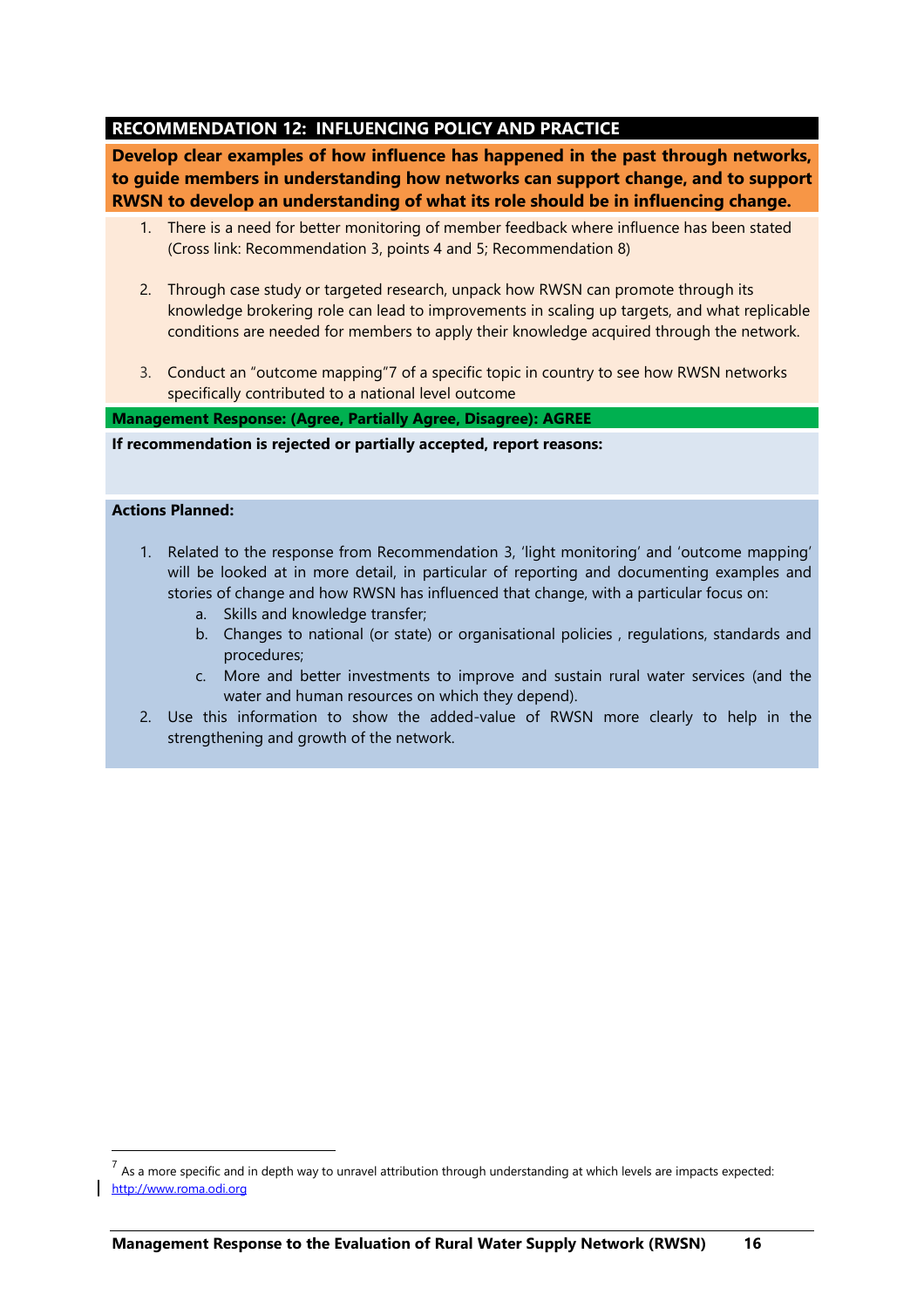## <span id="page-15-0"></span>**RECOMMENDATION 12: INFLUENCING POLICY AND PRACTICE**

**Develop clear examples of how influence has happened in the past through networks, to guide members in understanding how networks can support change, and to support RWSN to develop an understanding of what its role should be in influencing change.** 

- 1. There is a need for better monitoring of member feedback where influence has been stated (Cross link: Recommendation 3, points 4 and 5; Recommendation 8)
- 2. Through case study or targeted research, unpack how RWSN can promote through its knowledge brokering role can lead to improvements in scaling up targets, and what replicable conditions are needed for members to apply their knowledge acquired through the network.
- 3. Conduct an "outcome mapping"7 of a specific topic in country to see how RWSN networks specifically contributed to a national level outcome

**Management Response: (Agree, Partially Agree, Disagree): AGREE**

#### **If recommendation is rejected or partially accepted, report reasons:**

#### **Actions Planned:**

 $\overline{a}$ 

- 1. Related to the response from Recommendation 3, 'light monitoring' and 'outcome mapping' will be looked at in more detail, in particular of reporting and documenting examples and stories of change and how RWSN has influenced that change, with a particular focus on:
	- a. Skills and knowledge transfer;
	- b. Changes to national (or state) or organisational policies , regulations, standards and procedures;
	- c. More and better investments to improve and sustain rural water services (and the water and human resources on which they depend).
- 2. Use this information to show the added-value of RWSN more clearly to help in the strengthening and growth of the network.

 $^7$  As a more specific and in depth way to unravel attribution through understanding at which levels are impacts expected: [http://www.roma.odi.org](http://www.roma.odi.org/)